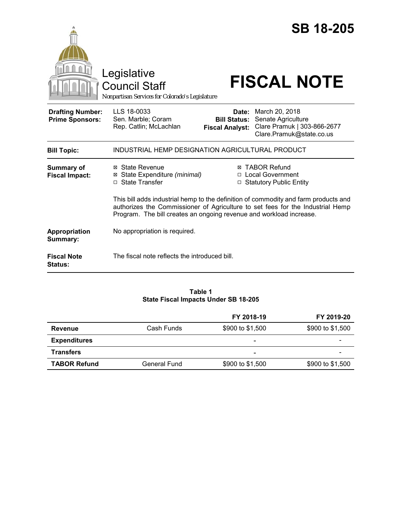|                                                   | Legislative<br><b>Council Staff</b><br>Nonpartisan Services for Colorado's Legislature |                                               | <b>SB 18-205</b><br><b>FISCAL NOTE</b>                                                                                                                                |
|---------------------------------------------------|----------------------------------------------------------------------------------------|-----------------------------------------------|-----------------------------------------------------------------------------------------------------------------------------------------------------------------------|
| <b>Drafting Number:</b><br><b>Prime Sponsors:</b> | LLS 18-0033<br>Sen. Marble; Coram<br>Rep. Catlin; McLachlan                            | <b>Bill Status:</b><br><b>Fiscal Analyst:</b> | <b>Date:</b> March 20, 2018<br>Senate Agriculture<br>Clare Pramuk   303-866-2677<br>Clare.Pramuk@state.co.us                                                          |
| <b>Bill Topic:</b>                                | INDUSTRIAL HEMP DESIGNATION AGRICULTURAL PRODUCT                                       |                                               |                                                                                                                                                                       |
| Summary of<br><b>Fiscal Impact:</b>               | ⊠ State Revenue<br>⊠ State Expenditure (minimal)<br>□ State Transfer                   |                                               | <b>⊠ TABOR Refund</b><br>□ Local Government<br>□ Statutory Public Entity                                                                                              |
|                                                   | Program. The bill creates an ongoing revenue and workload increase.                    |                                               | This bill adds industrial hemp to the definition of commodity and farm products and<br>authorizes the Commissioner of Agriculture to set fees for the Industrial Hemp |
| Appropriation<br>Summary:                         | No appropriation is required.                                                          |                                               |                                                                                                                                                                       |
| <b>Fiscal Note</b><br><b>Status:</b>              | The fiscal note reflects the introduced bill.                                          |                                               |                                                                                                                                                                       |

## **Table 1 State Fiscal Impacts Under SB 18-205**

|                     |              | FY 2018-19               | FY 2019-20       |
|---------------------|--------------|--------------------------|------------------|
| Revenue             | Cash Funds   | \$900 to \$1,500         | \$900 to \$1,500 |
| <b>Expenditures</b> |              | $\overline{\phantom{0}}$ |                  |
| <b>Transfers</b>    |              | $\overline{\phantom{0}}$ |                  |
| <b>TABOR Refund</b> | General Fund | \$900 to \$1,500         | \$900 to \$1,500 |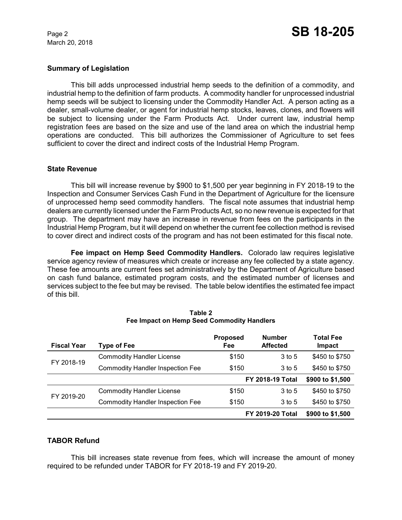March 20, 2018

## **Summary of Legislation**

This bill adds unprocessed industrial hemp seeds to the definition of a commodity, and industrial hemp to the definition of farm products. A commodity handler for unprocessed industrial hemp seeds will be subject to licensing under the Commodity Handler Act. A person acting as a dealer, small-volume dealer, or agent for industrial hemp stocks, leaves, clones, and flowers will be subject to licensing under the Farm Products Act. Under current law, industrial hemp registration fees are based on the size and use of the land area on which the industrial hemp operations are conducted. This bill authorizes the Commissioner of Agriculture to set fees sufficient to cover the direct and indirect costs of the Industrial Hemp Program.

#### **State Revenue**

This bill will increase revenue by \$900 to \$1,500 per year beginning in FY 2018-19 to the Inspection and Consumer Services Cash Fund in the Department of Agriculture for the licensure of unprocessed hemp seed commodity handlers. The fiscal note assumes that industrial hemp dealers are currently licensed under the Farm Products Act, so no new revenue is expected for that group. The department may have an increase in revenue from fees on the participants in the Industrial Hemp Program, but it will depend on whether the current fee collection method is revised to cover direct and indirect costs of the program and has not been estimated for this fiscal note.

**Fee impact on Hemp Seed Commodity Handlers.** Colorado law requires legislative service agency review of measures which create or increase any fee collected by a state agency. These fee amounts are current fees set administratively by the Department of Agriculture based on cash fund balance, estimated program costs, and the estimated number of licenses and services subject to the fee but may be revised. The table below identifies the estimated fee impact of this bill.

| <b>Fiscal Year</b> | Type of Fee                             | <b>Proposed</b><br>Fee | <b>Number</b><br><b>Affected</b> | <b>Total Fee</b><br>Impact |
|--------------------|-----------------------------------------|------------------------|----------------------------------|----------------------------|
| FY 2018-19         | <b>Commodity Handler License</b>        | \$150                  | 3 to 5                           | \$450 to \$750             |
|                    | <b>Commodity Handler Inspection Fee</b> | \$150                  | 3 to 5                           | \$450 to \$750             |
|                    |                                         |                        | <b>FY 2018-19 Total</b>          | \$900 to \$1,500           |
| FY 2019-20         | <b>Commodity Handler License</b>        | \$150                  | $3$ to 5                         | \$450 to \$750             |
|                    | <b>Commodity Handler Inspection Fee</b> | \$150                  | 3 to 5                           | \$450 to \$750             |
|                    |                                         |                        | <b>FY 2019-20 Total</b>          | \$900 to \$1,500           |

| Table 2                                    |  |  |
|--------------------------------------------|--|--|
| Fee Impact on Hemp Seed Commodity Handlers |  |  |

# **TABOR Refund**

This bill increases state revenue from fees, which will increase the amount of money required to be refunded under TABOR for FY 2018-19 and FY 2019-20.